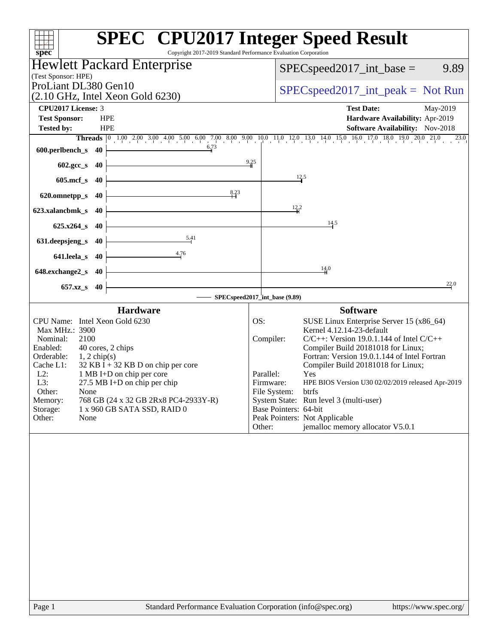| Copyright 2017-2019 Standard Performance Evaluation Corporation<br>spec <sup>®</sup>                                                                                                                                                                                                                                                                                                                                            | <b>SPEC<sup>®</sup></b> CPU2017 Integer Speed Result                                                                                                                                                                                                                                                                                                                                                                                                                                                                                                       |
|---------------------------------------------------------------------------------------------------------------------------------------------------------------------------------------------------------------------------------------------------------------------------------------------------------------------------------------------------------------------------------------------------------------------------------|------------------------------------------------------------------------------------------------------------------------------------------------------------------------------------------------------------------------------------------------------------------------------------------------------------------------------------------------------------------------------------------------------------------------------------------------------------------------------------------------------------------------------------------------------------|
| <b>Hewlett Packard Enterprise</b>                                                                                                                                                                                                                                                                                                                                                                                               | $SPEC speed2017\_int\_base =$<br>9.89                                                                                                                                                                                                                                                                                                                                                                                                                                                                                                                      |
| (Test Sponsor: HPE)                                                                                                                                                                                                                                                                                                                                                                                                             |                                                                                                                                                                                                                                                                                                                                                                                                                                                                                                                                                            |
| ProLiant DL380 Gen10<br>$(2.10 \text{ GHz}, \text{Intel Xeon Gold } 6230)$                                                                                                                                                                                                                                                                                                                                                      | $SPEC speed2017\_int\_peak = Not Run$                                                                                                                                                                                                                                                                                                                                                                                                                                                                                                                      |
| CPU <sub>2017</sub> License: 3                                                                                                                                                                                                                                                                                                                                                                                                  | <b>Test Date:</b><br>May-2019                                                                                                                                                                                                                                                                                                                                                                                                                                                                                                                              |
| <b>Test Sponsor:</b><br><b>HPE</b><br><b>Tested by:</b><br><b>HPE</b>                                                                                                                                                                                                                                                                                                                                                           | Hardware Availability: Apr-2019<br><b>Software Availability:</b> Nov-2018                                                                                                                                                                                                                                                                                                                                                                                                                                                                                  |
|                                                                                                                                                                                                                                                                                                                                                                                                                                 | Threads 0 1.00 2.00 3.00 4.00 5.00 6.00 7.00 8.00 9.00 10.0 11.0 12.0 13.0 14.0 15.0 16.0 17.0 18.0 19.0 20.0 21.0<br>23.0                                                                                                                                                                                                                                                                                                                                                                                                                                 |
| 6.73<br>600.perlbench_s<br>40                                                                                                                                                                                                                                                                                                                                                                                                   |                                                                                                                                                                                                                                                                                                                                                                                                                                                                                                                                                            |
| 602.gcc_s<br>40                                                                                                                                                                                                                                                                                                                                                                                                                 | 9.25                                                                                                                                                                                                                                                                                                                                                                                                                                                                                                                                                       |
| $605$ .mcf_s<br>40                                                                                                                                                                                                                                                                                                                                                                                                              | 12.5                                                                                                                                                                                                                                                                                                                                                                                                                                                                                                                                                       |
| 8.23<br>620.omnetpp_s<br>40                                                                                                                                                                                                                                                                                                                                                                                                     |                                                                                                                                                                                                                                                                                                                                                                                                                                                                                                                                                            |
| 623.xalancbmk s<br>40                                                                                                                                                                                                                                                                                                                                                                                                           | $\frac{12.2}{4}$                                                                                                                                                                                                                                                                                                                                                                                                                                                                                                                                           |
| $625.x264_s$<br>40                                                                                                                                                                                                                                                                                                                                                                                                              | 14.5                                                                                                                                                                                                                                                                                                                                                                                                                                                                                                                                                       |
| 5.41<br>631.deepsjeng_s<br>40                                                                                                                                                                                                                                                                                                                                                                                                   |                                                                                                                                                                                                                                                                                                                                                                                                                                                                                                                                                            |
| 4.76<br>641.leela_s<br>40                                                                                                                                                                                                                                                                                                                                                                                                       |                                                                                                                                                                                                                                                                                                                                                                                                                                                                                                                                                            |
| 648.exchange2_s<br>-40                                                                                                                                                                                                                                                                                                                                                                                                          | 14.0                                                                                                                                                                                                                                                                                                                                                                                                                                                                                                                                                       |
| 657.xz_s<br>40                                                                                                                                                                                                                                                                                                                                                                                                                  | 22.0                                                                                                                                                                                                                                                                                                                                                                                                                                                                                                                                                       |
|                                                                                                                                                                                                                                                                                                                                                                                                                                 | SPECspeed2017_int_base (9.89)                                                                                                                                                                                                                                                                                                                                                                                                                                                                                                                              |
| <b>Hardware</b><br>CPU Name: Intel Xeon Gold 6230<br>Max MHz.: 3900<br>2100<br>Nominal:<br>40 cores, 2 chips<br>Enabled:<br>Orderable:<br>$1, 2$ chip(s)<br>Cache L1:<br>$32$ KB I + 32 KB D on chip per core<br>$L2$ :<br>1 MB I+D on chip per core<br>L3:<br>$27.5$ MB I+D on chip per chip<br>Other:<br>None<br>Memory:<br>768 GB (24 x 32 GB 2Rx8 PC4-2933Y-R)<br>Storage:<br>1 x 960 GB SATA SSD, RAID 0<br>None<br>Other: | <b>Software</b><br>OS:<br>SUSE Linux Enterprise Server 15 (x86_64)<br>Kernel 4.12.14-23-default<br>Compiler:<br>$C/C++$ : Version 19.0.1.144 of Intel $C/C++$<br>Compiler Build 20181018 for Linux;<br>Fortran: Version 19.0.1.144 of Intel Fortran<br>Compiler Build 20181018 for Linux;<br>Parallel:<br>Yes<br>Firmware:<br>HPE BIOS Version U30 02/02/2019 released Apr-2019<br>File System:<br>btrfs<br>System State: Run level 3 (multi-user)<br>Base Pointers: 64-bit<br>Peak Pointers: Not Applicable<br>jemalloc memory allocator V5.0.1<br>Other: |
|                                                                                                                                                                                                                                                                                                                                                                                                                                 |                                                                                                                                                                                                                                                                                                                                                                                                                                                                                                                                                            |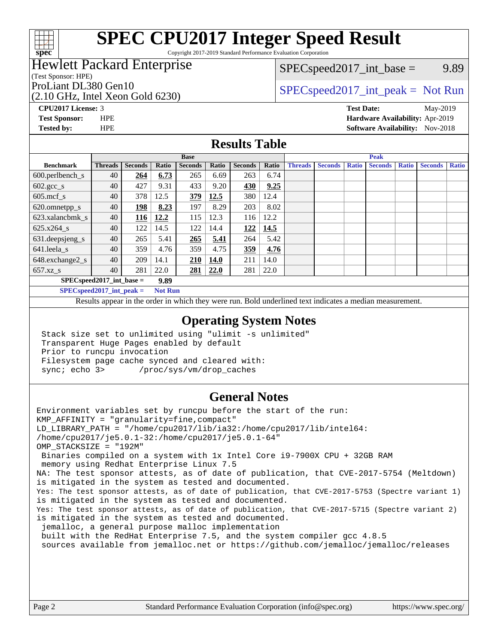

Copyright 2017-2019 Standard Performance Evaluation Corporation

## Hewlett Packard Enterprise

(Test Sponsor: HPE)

(2.10 GHz, Intel Xeon Gold 6230)

 $SPEC speed2017\_int\_base =$  9.89

## ProLiant DL380 Gen10  $SPEC speed2017\_int\_peak = Not Run$

**[Tested by:](http://www.spec.org/auto/cpu2017/Docs/result-fields.html#Testedby)** HPE **[Software Availability:](http://www.spec.org/auto/cpu2017/Docs/result-fields.html#SoftwareAvailability)** Nov-2018

**[CPU2017 License:](http://www.spec.org/auto/cpu2017/Docs/result-fields.html#CPU2017License)** 3 **[Test Date:](http://www.spec.org/auto/cpu2017/Docs/result-fields.html#TestDate)** May-2019 **[Test Sponsor:](http://www.spec.org/auto/cpu2017/Docs/result-fields.html#TestSponsor)** HPE **[Hardware Availability:](http://www.spec.org/auto/cpu2017/Docs/result-fields.html#HardwareAvailability)** Apr-2019

#### **[Results Table](http://www.spec.org/auto/cpu2017/Docs/result-fields.html#ResultsTable)**

|                              | <b>Base</b>    |                |       |                | <b>Peak</b> |                |       |                |                |              |                |              |                |              |
|------------------------------|----------------|----------------|-------|----------------|-------------|----------------|-------|----------------|----------------|--------------|----------------|--------------|----------------|--------------|
| <b>Benchmark</b>             | <b>Threads</b> | <b>Seconds</b> | Ratio | <b>Seconds</b> | Ratio       | <b>Seconds</b> | Ratio | <b>Threads</b> | <b>Seconds</b> | <b>Ratio</b> | <b>Seconds</b> | <b>Ratio</b> | <b>Seconds</b> | <b>Ratio</b> |
| $600.$ perlbench_s           | 40             | 264            | 6.73  | 265            | 6.69        | 263            | 6.74  |                |                |              |                |              |                |              |
| $602.\text{gcc}\_\text{s}$   | 40             | 427            | 9.31  | 433            | 9.20        | 430            | 9.25  |                |                |              |                |              |                |              |
| $605$ .mcf s                 | 40             | 378            | 12.5  | 379            | 12.5        | 380            | 12.4  |                |                |              |                |              |                |              |
| 620.omnetpp_s                | 40             | 198            | 8.23  | 197            | 8.29        | 203            | 8.02  |                |                |              |                |              |                |              |
| 623.xalancbmk s              | 40             | 116            | 12.2  | 115            | 12.3        | 116            | 12.2  |                |                |              |                |              |                |              |
| 625.x264 s                   | 40             | 122            | 14.5  | 122            | 14.4        | 122            | 14.5  |                |                |              |                |              |                |              |
| 631.deepsjeng_s              | 40             | 265            | 5.41  | 265            | 5.41        | 264            | 5.42  |                |                |              |                |              |                |              |
| $641.$ leela_s               | 40             | 359            | 4.76  | 359            | 4.75        | 359            | 4.76  |                |                |              |                |              |                |              |
| 648.exchange2_s              | 40             | 209            | 14.1  | <u>210</u>     | 14.0        | 211            | 14.0  |                |                |              |                |              |                |              |
| $657.xz$ s                   | 40             | 281            | 22.0  | 281            | 22.0        | 281            | 22.0  |                |                |              |                |              |                |              |
| $SPECspeed2017\_int\_base =$ |                |                | 9.89  |                |             |                |       |                |                |              |                |              |                |              |

**[SPECspeed2017\\_int\\_peak =](http://www.spec.org/auto/cpu2017/Docs/result-fields.html#SPECspeed2017intpeak) Not Run**

Results appear in the [order in which they were run.](http://www.spec.org/auto/cpu2017/Docs/result-fields.html#RunOrder) Bold underlined text [indicates a median measurement.](http://www.spec.org/auto/cpu2017/Docs/result-fields.html#Median)

#### **[Operating System Notes](http://www.spec.org/auto/cpu2017/Docs/result-fields.html#OperatingSystemNotes)**

 Stack size set to unlimited using "ulimit -s unlimited" Transparent Huge Pages enabled by default Prior to runcpu invocation Filesystem page cache synced and cleared with: sync; echo 3> /proc/sys/vm/drop\_caches

#### **[General Notes](http://www.spec.org/auto/cpu2017/Docs/result-fields.html#GeneralNotes)**

Environment variables set by runcpu before the start of the run: KMP\_AFFINITY = "granularity=fine,compact" LD\_LIBRARY\_PATH = "/home/cpu2017/lib/ia32:/home/cpu2017/lib/intel64: /home/cpu2017/je5.0.1-32:/home/cpu2017/je5.0.1-64" OMP\_STACKSIZE = "192M" Binaries compiled on a system with 1x Intel Core i9-7900X CPU + 32GB RAM memory using Redhat Enterprise Linux 7.5 NA: The test sponsor attests, as of date of publication, that CVE-2017-5754 (Meltdown) is mitigated in the system as tested and documented. Yes: The test sponsor attests, as of date of publication, that CVE-2017-5753 (Spectre variant 1) is mitigated in the system as tested and documented. Yes: The test sponsor attests, as of date of publication, that CVE-2017-5715 (Spectre variant 2) is mitigated in the system as tested and documented. jemalloc, a general purpose malloc implementation built with the RedHat Enterprise 7.5, and the system compiler gcc 4.8.5 sources available from jemalloc.net or<https://github.com/jemalloc/jemalloc/releases>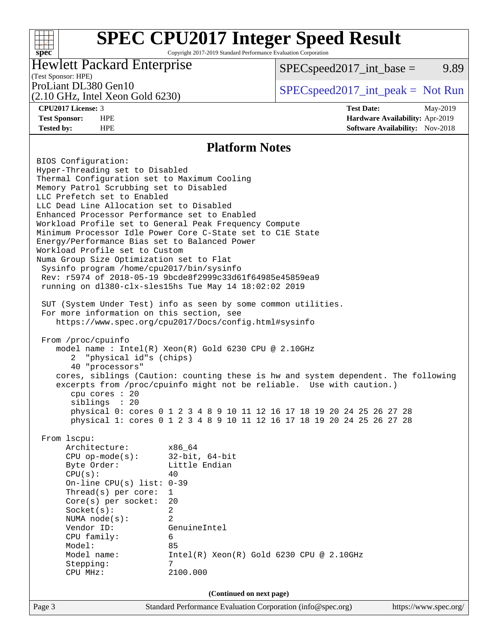Copyright 2017-2019 Standard Performance Evaluation Corporation

### Hewlett Packard Enterprise

 $SPEC speed2017\_int\_base =$  9.89

### (Test Sponsor: HPE)

(2.10 GHz, Intel Xeon Gold 6230)

ProLiant DL380 Gen10  $SPEC speed2017\_int\_peak = Not Run$ 

**[spec](http://www.spec.org/)**

 $+\!\!+\!\!$ 

**[CPU2017 License:](http://www.spec.org/auto/cpu2017/Docs/result-fields.html#CPU2017License)** 3 **[Test Date:](http://www.spec.org/auto/cpu2017/Docs/result-fields.html#TestDate)** May-2019 **[Test Sponsor:](http://www.spec.org/auto/cpu2017/Docs/result-fields.html#TestSponsor)** HPE **[Hardware Availability:](http://www.spec.org/auto/cpu2017/Docs/result-fields.html#HardwareAvailability)** Apr-2019 **[Tested by:](http://www.spec.org/auto/cpu2017/Docs/result-fields.html#Testedby)** HPE **[Software Availability:](http://www.spec.org/auto/cpu2017/Docs/result-fields.html#SoftwareAvailability)** Nov-2018

#### **[Platform Notes](http://www.spec.org/auto/cpu2017/Docs/result-fields.html#PlatformNotes)**

Page 3 Standard Performance Evaluation Corporation [\(info@spec.org\)](mailto:info@spec.org) <https://www.spec.org/> BIOS Configuration: Hyper-Threading set to Disabled Thermal Configuration set to Maximum Cooling Memory Patrol Scrubbing set to Disabled LLC Prefetch set to Enabled LLC Dead Line Allocation set to Disabled Enhanced Processor Performance set to Enabled Workload Profile set to General Peak Frequency Compute Minimum Processor Idle Power Core C-State set to C1E State Energy/Performance Bias set to Balanced Power Workload Profile set to Custom Numa Group Size Optimization set to Flat Sysinfo program /home/cpu2017/bin/sysinfo Rev: r5974 of 2018-05-19 9bcde8f2999c33d61f64985e45859ea9 running on dl380-clx-sles15hs Tue May 14 18:02:02 2019 SUT (System Under Test) info as seen by some common utilities. For more information on this section, see <https://www.spec.org/cpu2017/Docs/config.html#sysinfo> From /proc/cpuinfo model name : Intel(R) Xeon(R) Gold 6230 CPU @ 2.10GHz 2 "physical id"s (chips) 40 "processors" cores, siblings (Caution: counting these is hw and system dependent. The following excerpts from /proc/cpuinfo might not be reliable. Use with caution.) cpu cores : 20 siblings : 20 physical 0: cores 0 1 2 3 4 8 9 10 11 12 16 17 18 19 20 24 25 26 27 28 physical 1: cores 0 1 2 3 4 8 9 10 11 12 16 17 18 19 20 24 25 26 27 28 From lscpu: Architecture: x86\_64 CPU op-mode(s): 32-bit, 64-bit Byte Order: Little Endian  $CPU(s):$  40 On-line CPU(s) list: 0-39 Thread(s) per core: 1 Core(s) per socket: 20 Socket(s): 2 NUMA node(s): 2 Vendor ID: GenuineIntel CPU family: 6 Model: 85 Model name: Intel(R) Xeon(R) Gold 6230 CPU @ 2.10GHz Stepping: 7 CPU MHz: 2100.000 **(Continued on next page)**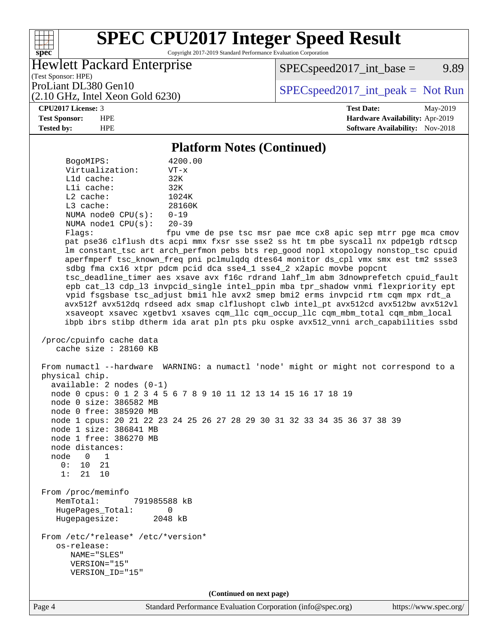Copyright 2017-2019 Standard Performance Evaluation Corporation

### Hewlett Packard Enterprise

(2.10 GHz, Intel Xeon Gold 6230)

 $SPEC speed2017\_int\_base =$  9.89

(Test Sponsor: HPE)

ProLiant DL380 Gen10  $SPEC speed2017\_int\_peak = Not Run$ 

**[spec](http://www.spec.org/)**

 $+\!\!+\!\!$ 

**[CPU2017 License:](http://www.spec.org/auto/cpu2017/Docs/result-fields.html#CPU2017License)** 3 **[Test Date:](http://www.spec.org/auto/cpu2017/Docs/result-fields.html#TestDate)** May-2019 **[Test Sponsor:](http://www.spec.org/auto/cpu2017/Docs/result-fields.html#TestSponsor)** HPE **[Hardware Availability:](http://www.spec.org/auto/cpu2017/Docs/result-fields.html#HardwareAvailability)** Apr-2019 **[Tested by:](http://www.spec.org/auto/cpu2017/Docs/result-fields.html#Testedby)** HPE **[Software Availability:](http://www.spec.org/auto/cpu2017/Docs/result-fields.html#SoftwareAvailability)** Nov-2018

#### **[Platform Notes \(Continued\)](http://www.spec.org/auto/cpu2017/Docs/result-fields.html#PlatformNotes)**

Page 4 Standard Performance Evaluation Corporation [\(info@spec.org\)](mailto:info@spec.org) <https://www.spec.org/> BogoMIPS: 4200.00 Virtualization: VT-x L1d cache: 32K L1i cache: 32K L2 cache: 1024K L3 cache: 28160K NUMA node0 CPU(s): 0-19 NUMA node1 CPU(s): 20-39 Flags: fpu vme de pse tsc msr pae mce cx8 apic sep mtrr pge mca cmov pat pse36 clflush dts acpi mmx fxsr sse sse2 ss ht tm pbe syscall nx pdpe1gb rdtscp lm constant\_tsc art arch\_perfmon pebs bts rep\_good nopl xtopology nonstop\_tsc cpuid aperfmperf tsc\_known\_freq pni pclmulqdq dtes64 monitor ds\_cpl vmx smx est tm2 ssse3 sdbg fma cx16 xtpr pdcm pcid dca sse4\_1 sse4\_2 x2apic movbe popcnt tsc\_deadline\_timer aes xsave avx f16c rdrand lahf\_lm abm 3dnowprefetch cpuid\_fault epb cat\_l3 cdp\_l3 invpcid\_single intel\_ppin mba tpr\_shadow vnmi flexpriority ept vpid fsgsbase tsc\_adjust bmi1 hle avx2 smep bmi2 erms invpcid rtm cqm mpx rdt\_a avx512f avx512dq rdseed adx smap clflushopt clwb intel\_pt avx512cd avx512bw avx512vl xsaveopt xsavec xgetbv1 xsaves cqm\_llc cqm\_occup\_llc cqm\_mbm\_total cqm\_mbm\_local ibpb ibrs stibp dtherm ida arat pln pts pku ospke avx512\_vnni arch\_capabilities ssbd /proc/cpuinfo cache data cache size : 28160 KB From numactl --hardware WARNING: a numactl 'node' might or might not correspond to a physical chip. available: 2 nodes (0-1) node 0 cpus: 0 1 2 3 4 5 6 7 8 9 10 11 12 13 14 15 16 17 18 19 node 0 size: 386582 MB node 0 free: 385920 MB node 1 cpus: 20 21 22 23 24 25 26 27 28 29 30 31 32 33 34 35 36 37 38 39 node 1 size: 386841 MB node 1 free: 386270 MB node distances: node 0 1 0: 10 21 1: 21 10 From /proc/meminfo MemTotal: 791985588 kB HugePages\_Total: 0 Hugepagesize: 2048 kB From /etc/\*release\* /etc/\*version\* os-release: NAME="SLES" VERSION="15" VERSION\_ID="15" **(Continued on next page)**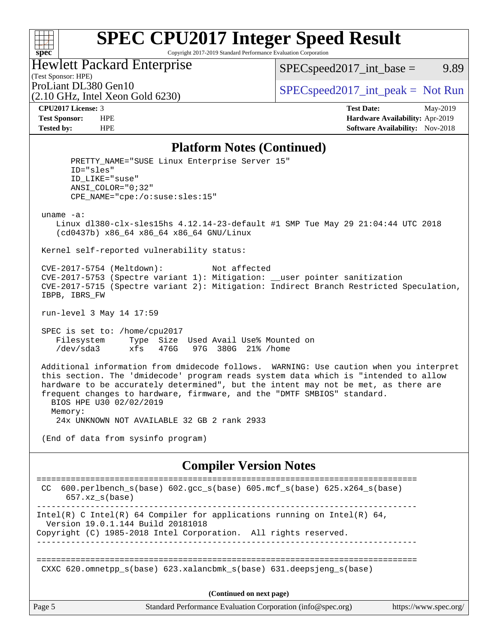#### $+\!\!+\!\!$ **[spec](http://www.spec.org/)**

# **[SPEC CPU2017 Integer Speed Result](http://www.spec.org/auto/cpu2017/Docs/result-fields.html#SPECCPU2017IntegerSpeedResult)**

Copyright 2017-2019 Standard Performance Evaluation Corporation

### Hewlett Packard Enterprise

 $SPEC speed2017\_int\_base =$  9.89

## (Test Sponsor: HPE)

(2.10 GHz, Intel Xeon Gold 6230)

ProLiant DL380 Gen10  $SPEC speed2017\_int\_peak = Not Run$ 

**[CPU2017 License:](http://www.spec.org/auto/cpu2017/Docs/result-fields.html#CPU2017License)** 3 **[Test Date:](http://www.spec.org/auto/cpu2017/Docs/result-fields.html#TestDate)** May-2019 **[Test Sponsor:](http://www.spec.org/auto/cpu2017/Docs/result-fields.html#TestSponsor)** HPE **[Hardware Availability:](http://www.spec.org/auto/cpu2017/Docs/result-fields.html#HardwareAvailability)** Apr-2019 **[Tested by:](http://www.spec.org/auto/cpu2017/Docs/result-fields.html#Testedby)** HPE **HPE [Software Availability:](http://www.spec.org/auto/cpu2017/Docs/result-fields.html#SoftwareAvailability)** Nov-2018

#### **[Platform Notes \(Continued\)](http://www.spec.org/auto/cpu2017/Docs/result-fields.html#PlatformNotes)**

PRETTY NAME="SUSE Linux Enterprise Server 15" ID="sles" ID\_LIKE="suse" ANSI\_COLOR="0;32" CPE\_NAME="cpe:/o:suse:sles:15" uname -a: Linux dl380-clx-sles15hs 4.12.14-23-default #1 SMP Tue May 29 21:04:44 UTC 2018 (cd0437b) x86\_64 x86\_64 x86\_64 GNU/Linux Kernel self-reported vulnerability status: CVE-2017-5754 (Meltdown): Not affected CVE-2017-5753 (Spectre variant 1): Mitigation: \_\_user pointer sanitization CVE-2017-5715 (Spectre variant 2): Mitigation: Indirect Branch Restricted Speculation, IBPB, IBRS\_FW run-level 3 May 14 17:59 SPEC is set to: /home/cpu2017 Filesystem Type Size Used Avail Use% Mounted on /dev/sda3 xfs 476G 97G 380G 21% /home Additional information from dmidecode follows. WARNING: Use caution when you interpret this section. The 'dmidecode' program reads system data which is "intended to allow hardware to be accurately determined", but the intent may not be met, as there are frequent changes to hardware, firmware, and the "DMTF SMBIOS" standard. BIOS HPE U30 02/02/2019 Memory: 24x UNKNOWN NOT AVAILABLE 32 GB 2 rank 2933 (End of data from sysinfo program) **[Compiler Version Notes](http://www.spec.org/auto/cpu2017/Docs/result-fields.html#CompilerVersionNotes)** ============================================================================== CC 600.perlbench\_s(base) 602.gcc\_s(base) 605.mcf\_s(base) 625.x264\_s(base) 657.xz\_s(base) ------------------------------------------------------------------------------ Intel(R) C Intel(R) 64 Compiler for applications running on Intel(R)  $64$ , Version 19.0.1.144 Build 20181018 Copyright (C) 1985-2018 Intel Corporation. All rights reserved.

------------------------------------------------------------------------------

==============================================================================

CXXC 620.omnetpp\_s(base) 623.xalancbmk\_s(base) 631.deepsjeng\_s(base)

**(Continued on next page)**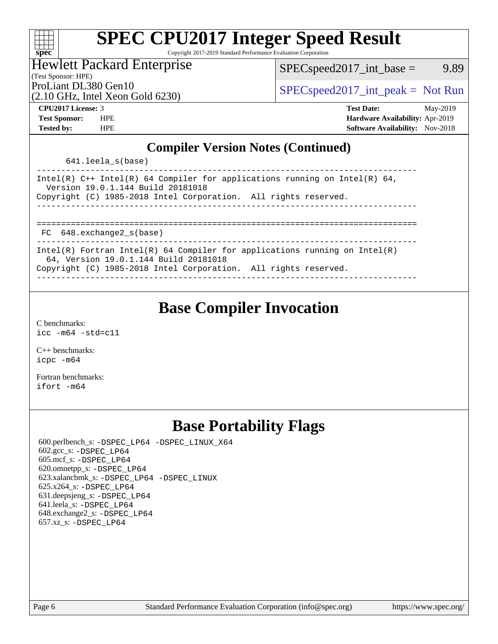| s<br>č | u | E | ų |  |
|--------|---|---|---|--|

Copyright 2017-2019 Standard Performance Evaluation Corporation

#### Hewlett Packard Enterprise

 $SPEC speed2017\_int\_base =$  9.89

(Test Sponsor: HPE)

(2.10 GHz, Intel Xeon Gold 6230)

ProLiant DL380 Gen10  $SPEC speed2017\_int\_peak = Not Run$ 

**[CPU2017 License:](http://www.spec.org/auto/cpu2017/Docs/result-fields.html#CPU2017License)** 3 **[Test Date:](http://www.spec.org/auto/cpu2017/Docs/result-fields.html#TestDate)** May-2019 **[Test Sponsor:](http://www.spec.org/auto/cpu2017/Docs/result-fields.html#TestSponsor)** HPE **[Hardware Availability:](http://www.spec.org/auto/cpu2017/Docs/result-fields.html#HardwareAvailability)** Apr-2019 **[Tested by:](http://www.spec.org/auto/cpu2017/Docs/result-fields.html#Testedby)** HPE **[Software Availability:](http://www.spec.org/auto/cpu2017/Docs/result-fields.html#SoftwareAvailability)** Nov-2018

### **[Compiler Version Notes \(Continued\)](http://www.spec.org/auto/cpu2017/Docs/result-fields.html#CompilerVersionNotes)**

641.leela\_s(base)

| Intel(R) C++ Intel(R) 64 Compiler for applications running on Intel(R) 64,<br>Version 19.0.1.144 Build 20181018<br>Copyright (C) 1985-2018 Intel Corporation. All rights reserved. |
|------------------------------------------------------------------------------------------------------------------------------------------------------------------------------------|
|                                                                                                                                                                                    |
|                                                                                                                                                                                    |
|                                                                                                                                                                                    |
| FC 648.exchange2 s(base)                                                                                                                                                           |
|                                                                                                                                                                                    |
| Intel(R) Fortran Intel(R) 64 Compiler for applications running on Intel(R)                                                                                                         |
| 64, Version 19.0.1.144 Build 20181018                                                                                                                                              |
| Copyright (C) 1985-2018 Intel Corporation. All rights reserved.                                                                                                                    |
|                                                                                                                                                                                    |

------------------------------------------------------------------------------

## **[Base Compiler Invocation](http://www.spec.org/auto/cpu2017/Docs/result-fields.html#BaseCompilerInvocation)**

[C benchmarks](http://www.spec.org/auto/cpu2017/Docs/result-fields.html#Cbenchmarks): [icc -m64 -std=c11](http://www.spec.org/cpu2017/results/res2019q2/cpu2017-20190524-14462.flags.html#user_CCbase_intel_icc_64bit_c11_33ee0cdaae7deeeab2a9725423ba97205ce30f63b9926c2519791662299b76a0318f32ddfffdc46587804de3178b4f9328c46fa7c2b0cd779d7a61945c91cd35)

[C++ benchmarks:](http://www.spec.org/auto/cpu2017/Docs/result-fields.html#CXXbenchmarks) [icpc -m64](http://www.spec.org/cpu2017/results/res2019q2/cpu2017-20190524-14462.flags.html#user_CXXbase_intel_icpc_64bit_4ecb2543ae3f1412ef961e0650ca070fec7b7afdcd6ed48761b84423119d1bf6bdf5cad15b44d48e7256388bc77273b966e5eb805aefd121eb22e9299b2ec9d9)

[Fortran benchmarks](http://www.spec.org/auto/cpu2017/Docs/result-fields.html#Fortranbenchmarks): [ifort -m64](http://www.spec.org/cpu2017/results/res2019q2/cpu2017-20190524-14462.flags.html#user_FCbase_intel_ifort_64bit_24f2bb282fbaeffd6157abe4f878425411749daecae9a33200eee2bee2fe76f3b89351d69a8130dd5949958ce389cf37ff59a95e7a40d588e8d3a57e0c3fd751)

## **[Base Portability Flags](http://www.spec.org/auto/cpu2017/Docs/result-fields.html#BasePortabilityFlags)**

 600.perlbench\_s: [-DSPEC\\_LP64](http://www.spec.org/cpu2017/results/res2019q2/cpu2017-20190524-14462.flags.html#b600.perlbench_s_basePORTABILITY_DSPEC_LP64) [-DSPEC\\_LINUX\\_X64](http://www.spec.org/cpu2017/results/res2019q2/cpu2017-20190524-14462.flags.html#b600.perlbench_s_baseCPORTABILITY_DSPEC_LINUX_X64) 602.gcc\_s: [-DSPEC\\_LP64](http://www.spec.org/cpu2017/results/res2019q2/cpu2017-20190524-14462.flags.html#suite_basePORTABILITY602_gcc_s_DSPEC_LP64) 605.mcf\_s: [-DSPEC\\_LP64](http://www.spec.org/cpu2017/results/res2019q2/cpu2017-20190524-14462.flags.html#suite_basePORTABILITY605_mcf_s_DSPEC_LP64) 620.omnetpp\_s: [-DSPEC\\_LP64](http://www.spec.org/cpu2017/results/res2019q2/cpu2017-20190524-14462.flags.html#suite_basePORTABILITY620_omnetpp_s_DSPEC_LP64) 623.xalancbmk\_s: [-DSPEC\\_LP64](http://www.spec.org/cpu2017/results/res2019q2/cpu2017-20190524-14462.flags.html#suite_basePORTABILITY623_xalancbmk_s_DSPEC_LP64) [-DSPEC\\_LINUX](http://www.spec.org/cpu2017/results/res2019q2/cpu2017-20190524-14462.flags.html#b623.xalancbmk_s_baseCXXPORTABILITY_DSPEC_LINUX) 625.x264\_s: [-DSPEC\\_LP64](http://www.spec.org/cpu2017/results/res2019q2/cpu2017-20190524-14462.flags.html#suite_basePORTABILITY625_x264_s_DSPEC_LP64) 631.deepsjeng\_s: [-DSPEC\\_LP64](http://www.spec.org/cpu2017/results/res2019q2/cpu2017-20190524-14462.flags.html#suite_basePORTABILITY631_deepsjeng_s_DSPEC_LP64) 641.leela\_s: [-DSPEC\\_LP64](http://www.spec.org/cpu2017/results/res2019q2/cpu2017-20190524-14462.flags.html#suite_basePORTABILITY641_leela_s_DSPEC_LP64) 648.exchange2\_s: [-DSPEC\\_LP64](http://www.spec.org/cpu2017/results/res2019q2/cpu2017-20190524-14462.flags.html#suite_basePORTABILITY648_exchange2_s_DSPEC_LP64) 657.xz\_s: [-DSPEC\\_LP64](http://www.spec.org/cpu2017/results/res2019q2/cpu2017-20190524-14462.flags.html#suite_basePORTABILITY657_xz_s_DSPEC_LP64)